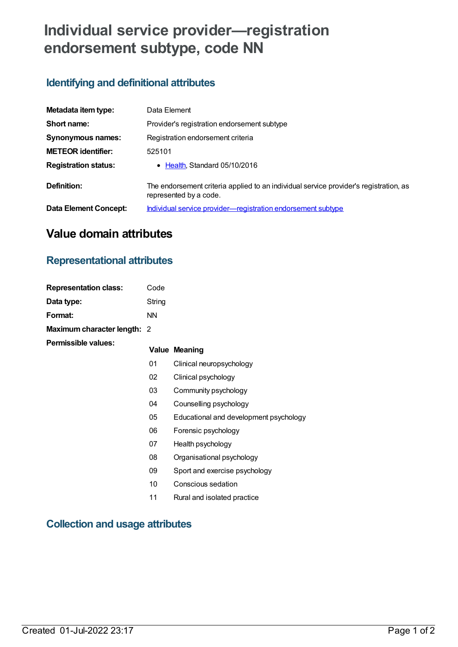# **Individual service provider—registration endorsement subtype, code NN**

### **Identifying and definitional attributes**

| Metadata item type:          | Data Element                                                                                                    |
|------------------------------|-----------------------------------------------------------------------------------------------------------------|
| Short name:                  | Provider's registration endorsement subtype                                                                     |
| Synonymous names:            | Registration endorsement criteria                                                                               |
| <b>METEOR identifier:</b>    | 525101                                                                                                          |
| <b>Registration status:</b>  | • Health, Standard 05/10/2016                                                                                   |
| Definition:                  | The endorsement criteria applied to an individual service provider's registration, as<br>represented by a code. |
| <b>Data Element Concept:</b> | Individual service provider-registration endorsement subtype                                                    |

## **Value domain attributes**

### **Representational attributes**

| <b>Representation class:</b> | Code      |                                        |
|------------------------------|-----------|----------------------------------------|
| Data type:                   | String    |                                        |
| Format:                      | <b>NN</b> |                                        |
| Maximum character length: 2  |           |                                        |
| Permissible values:          |           | <b>Value Meaning</b>                   |
|                              | 01        | Clinical neuropsychology               |
|                              | 02        | Clinical psychology                    |
|                              | 03        | Community psychology                   |
|                              | 04        | Counselling psychology                 |
|                              | 05        | Educational and development psychology |
|                              | 06        | Forensic psychology                    |
|                              | 07        | Health psychology                      |
|                              | 08        | Organisational psychology              |
|                              | 09        | Sport and exercise psychology          |
|                              | 10        | Conscious sedation                     |
|                              | 11        | Rural and isolated practice            |

#### **Collection and usage attributes**